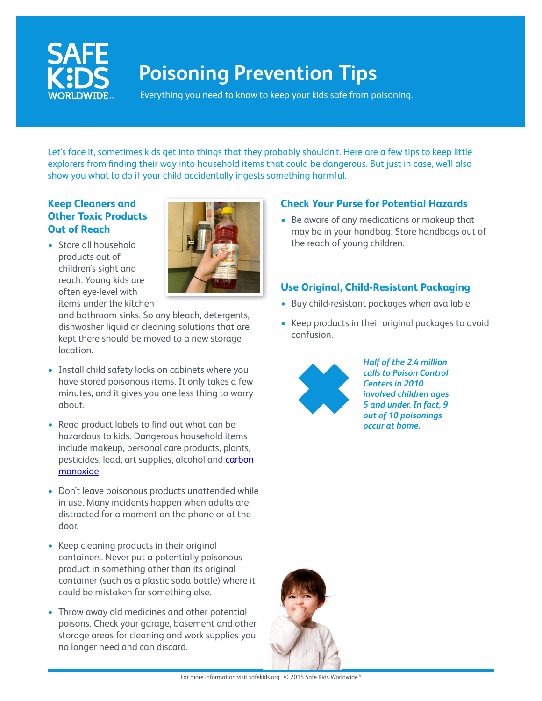

# **Poisoning Prevention Tips**

Everything you need to know to keep your kids safe from poisoning.

Let's face it, sometimes kids get into things that they probably shouldn't. Here are a few tips to keep little explorers from finding their way into household items that could be dangerous. But just in case, we'll also show you what to do if your child accidentally ingests something harmful.

## **Keep Cleaners and Other Toxic Products Out of Reach**

• Store all household products out of children's sight and reach. Young kids are often eye-level with items under the kitchen



and bathroom sinks. So any bleach, detergents, dishwasher liquid or cleaning solutions that are kept there should be moved to a new storage location.

- Install child safety locks on cabinets where you have stored poisonous items. It only takes a few minutes, and it gives you one less thing to worry about.
- Read product labels to find out what can be hazardous to kids. Dangerous household items include makeup, personal care products, plants, pesticides, lead, art supplies, alcohol and **carbon** monoxide.
- Don't leave poisonous products unattended while in use. Many incidents happen when adults are distracted for a moment on the phone or at the door.
- Keep cleaning products in their original containers. Never put a potentially poisonous product in something other than its original container (such as a plastic soda bottle) where it could be mistaken for something else.
- Throw away old medicines and other potential poisons. Check your garage, basement and other storage areas for cleaning and work supplies you no longer need and can discard.

## **Check Your Purse for Potential Hazards**

• Be aware of any medications or makeup that may be in your handbag. Store handbags out of the reach of young children.

## **Use Original, Child-Resistant Packaging**

- Buy child-resistant packages when available.
- Keep products in their original packages to avoid confusion.



*Half of the 2.4 million calls to Poison Control Centers in 2010 involved children ages 5 and under. In fact, 9 out of 10 poisonings occur at home.*